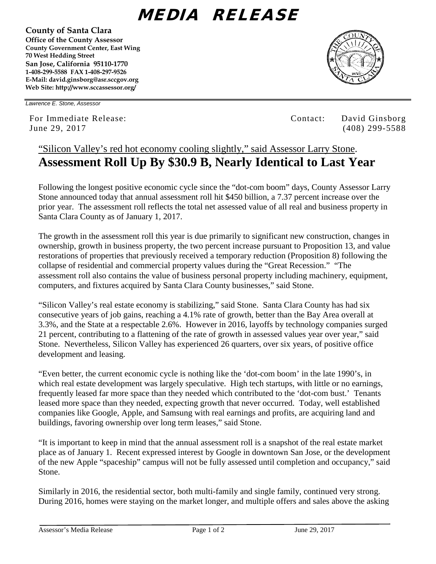## MEDIA RELEASE

**County of Santa Clara Office of the County Assessor County Government Center, East Wing 70 West Hedding Street San Jose, California 95110-1770 1-408-299-5588 FAX 1-408-297-9526 E-Mail: david.ginsborg@asr.sccgov.org**



*Lawrence E. Stone, Assessor*

**Web Site: http://www.sccassessor.org/** 

For Immediate Release: Contact: David Ginsborg June 29, 2017 (408) 299-5588

## "Silicon Valley's red hot economy cooling slightly," said Assessor Larry Stone. **Assessment Roll Up By \$30.9 B, Nearly Identical to Last Year**

Following the longest positive economic cycle since the "dot-com boom" days, County Assessor Larry Stone announced today that annual assessment roll hit \$450 billion, a 7.37 percent increase over the prior year. The assessment roll reflects the total net assessed value of all real and business property in Santa Clara County as of January 1, 2017.

The growth in the assessment roll this year is due primarily to significant new construction, changes in ownership, growth in business property, the two percent increase pursuant to Proposition 13, and value restorations of properties that previously received a temporary reduction (Proposition 8) following the collapse of residential and commercial property values during the "Great Recession." "The assessment roll also contains the value of business personal property including machinery, equipment, computers, and fixtures acquired by Santa Clara County businesses," said Stone.

"Silicon Valley's real estate economy is stabilizing," said Stone. Santa Clara County has had six consecutive years of job gains, reaching a 4.1% rate of growth, better than the Bay Area overall at 3.3%, and the State at a respectable 2.6%. However in 2016, layoffs by technology companies surged 21 percent, contributing to a flattening of the rate of growth in assessed values year over year," said Stone. Nevertheless, Silicon Valley has experienced 26 quarters, over six years, of positive office development and leasing.

"Even better, the current economic cycle is nothing like the 'dot-com boom' in the late 1990's, in which real estate development was largely speculative. High tech startups, with little or no earnings, frequently leased far more space than they needed which contributed to the 'dot-com bust.' Tenants leased more space than they needed, expecting growth that never occurred. Today, well established companies like Google, Apple, and Samsung with real earnings and profits, are acquiring land and buildings, favoring ownership over long term leases," said Stone.

"It is important to keep in mind that the annual assessment roll is a snapshot of the real estate market place as of January 1. Recent expressed interest by Google in downtown San Jose, or the development of the new Apple "spaceship" campus will not be fully assessed until completion and occupancy," said Stone.

Similarly in 2016, the residential sector, both multi-family and single family, continued very strong. During 2016, homes were staying on the market longer, and multiple offers and sales above the asking